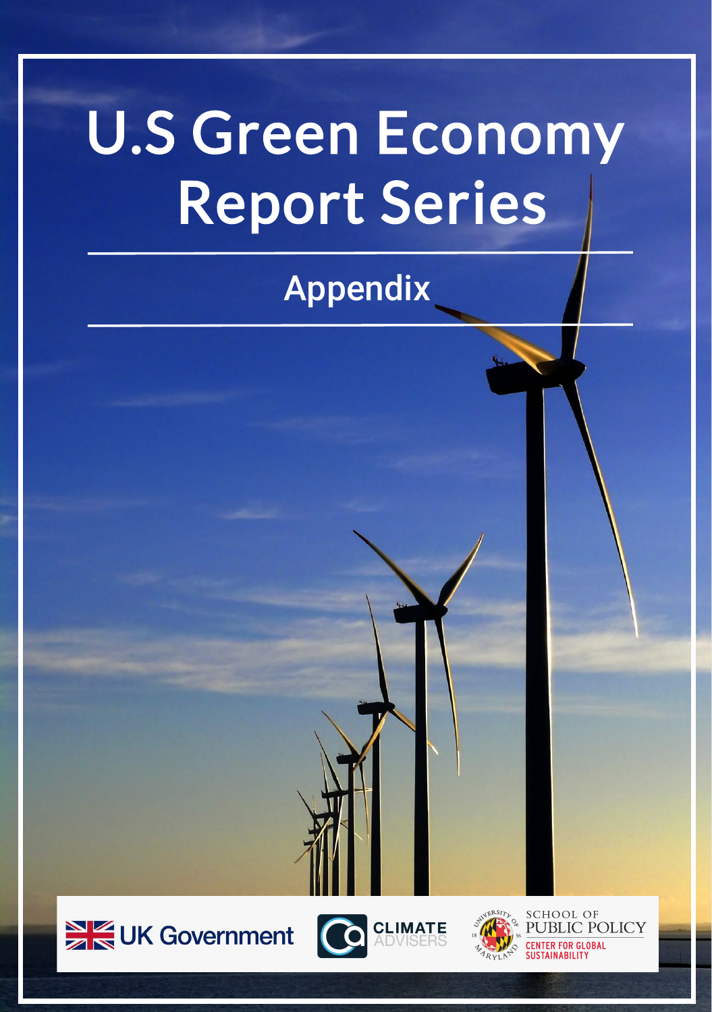# U.S Green Economy Report Series

#### Appendix







**SCHOOL OF** PUBLIC POLICY **CENTER FOR GLOBAL** USTAINABILIT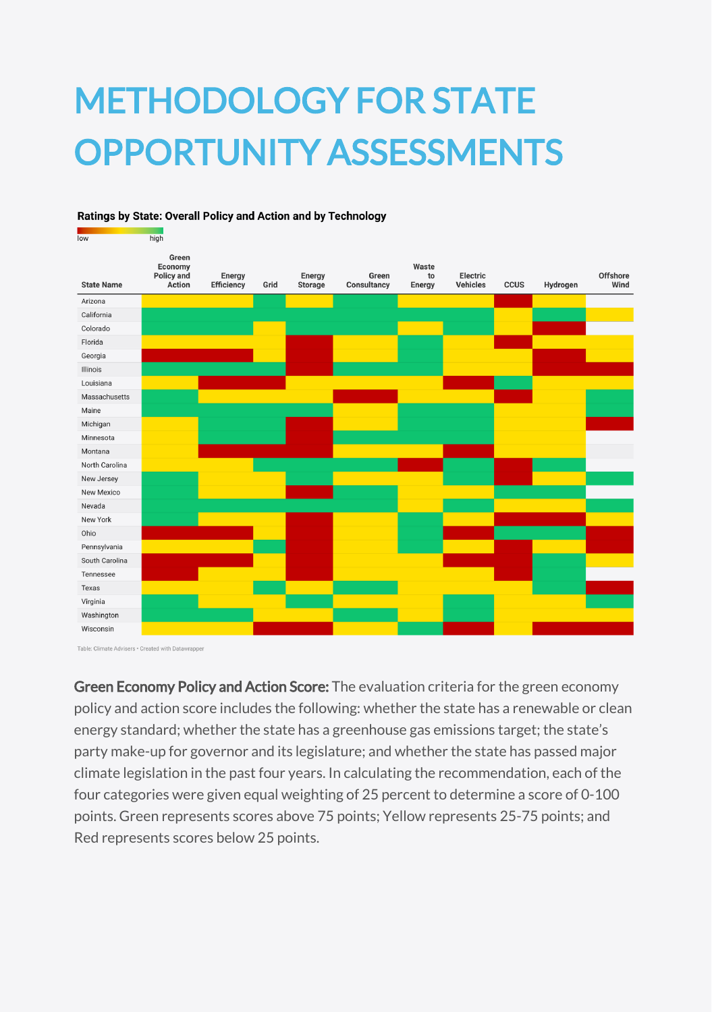# METHODOLOGY FOR STATE OPPORTUNITY ASSESSMENTS

#### Ratings by State: Overall Policy and Action and by Technology

| Green<br>Waste<br>Economy<br><b>Offshore</b><br>Policy and<br>Energy<br>Green<br>to<br>Electric<br>Energy<br>Efficiency<br>Wind<br><b>State Name</b><br>Action<br>Grid<br><b>Storage</b><br>Consultancy<br><b>Vehicles</b><br><b>CCUS</b><br>Hydrogen<br>Energy<br>Arizona<br>California<br>Colorado<br>Florida<br>Georgia<br>Illinois<br>Louisiana<br>Massachusetts<br>Maine<br>Michigan<br>Minnesota<br>Montana<br>North Carolina<br>New Jersey<br>New Mexico<br>Nevada<br>New York<br>Ohio<br>Pennsylvania<br>South Carolina<br>Tennessee<br>Texas<br>Virginia<br>Washington<br>Wisconsin | <b>IOW</b> | nıgn |  |  |  |  |  |
|----------------------------------------------------------------------------------------------------------------------------------------------------------------------------------------------------------------------------------------------------------------------------------------------------------------------------------------------------------------------------------------------------------------------------------------------------------------------------------------------------------------------------------------------------------------------------------------------|------------|------|--|--|--|--|--|
|                                                                                                                                                                                                                                                                                                                                                                                                                                                                                                                                                                                              |            |      |  |  |  |  |  |
|                                                                                                                                                                                                                                                                                                                                                                                                                                                                                                                                                                                              |            |      |  |  |  |  |  |
|                                                                                                                                                                                                                                                                                                                                                                                                                                                                                                                                                                                              |            |      |  |  |  |  |  |
|                                                                                                                                                                                                                                                                                                                                                                                                                                                                                                                                                                                              |            |      |  |  |  |  |  |
|                                                                                                                                                                                                                                                                                                                                                                                                                                                                                                                                                                                              |            |      |  |  |  |  |  |
|                                                                                                                                                                                                                                                                                                                                                                                                                                                                                                                                                                                              |            |      |  |  |  |  |  |
|                                                                                                                                                                                                                                                                                                                                                                                                                                                                                                                                                                                              |            |      |  |  |  |  |  |
|                                                                                                                                                                                                                                                                                                                                                                                                                                                                                                                                                                                              |            |      |  |  |  |  |  |
|                                                                                                                                                                                                                                                                                                                                                                                                                                                                                                                                                                                              |            |      |  |  |  |  |  |
|                                                                                                                                                                                                                                                                                                                                                                                                                                                                                                                                                                                              |            |      |  |  |  |  |  |
|                                                                                                                                                                                                                                                                                                                                                                                                                                                                                                                                                                                              |            |      |  |  |  |  |  |
|                                                                                                                                                                                                                                                                                                                                                                                                                                                                                                                                                                                              |            |      |  |  |  |  |  |
|                                                                                                                                                                                                                                                                                                                                                                                                                                                                                                                                                                                              |            |      |  |  |  |  |  |
|                                                                                                                                                                                                                                                                                                                                                                                                                                                                                                                                                                                              |            |      |  |  |  |  |  |
|                                                                                                                                                                                                                                                                                                                                                                                                                                                                                                                                                                                              |            |      |  |  |  |  |  |
|                                                                                                                                                                                                                                                                                                                                                                                                                                                                                                                                                                                              |            |      |  |  |  |  |  |
|                                                                                                                                                                                                                                                                                                                                                                                                                                                                                                                                                                                              |            |      |  |  |  |  |  |
|                                                                                                                                                                                                                                                                                                                                                                                                                                                                                                                                                                                              |            |      |  |  |  |  |  |
|                                                                                                                                                                                                                                                                                                                                                                                                                                                                                                                                                                                              |            |      |  |  |  |  |  |
|                                                                                                                                                                                                                                                                                                                                                                                                                                                                                                                                                                                              |            |      |  |  |  |  |  |
|                                                                                                                                                                                                                                                                                                                                                                                                                                                                                                                                                                                              |            |      |  |  |  |  |  |
|                                                                                                                                                                                                                                                                                                                                                                                                                                                                                                                                                                                              |            |      |  |  |  |  |  |
|                                                                                                                                                                                                                                                                                                                                                                                                                                                                                                                                                                                              |            |      |  |  |  |  |  |
|                                                                                                                                                                                                                                                                                                                                                                                                                                                                                                                                                                                              |            |      |  |  |  |  |  |
|                                                                                                                                                                                                                                                                                                                                                                                                                                                                                                                                                                                              |            |      |  |  |  |  |  |
|                                                                                                                                                                                                                                                                                                                                                                                                                                                                                                                                                                                              |            |      |  |  |  |  |  |

Table: Climate Advisers · Created with Datawrapper

Green Economy Policy and Action Score: The evaluation criteria for the green economy policy and action score includes the following: whether the state has a renewable or clean energy standard; whether the state has a greenhouse gas emissions target; the state's party make-up for governor and its legislature; and whether the state has passed major climate legislation in the past four years. In calculating the recommendation, each of the four categories were given equal weighting of 25 percent to determine a score of 0-100 points. Green represents scores above 75 points; Yellow represents 25-75 points; and Red represents scores below 25 points.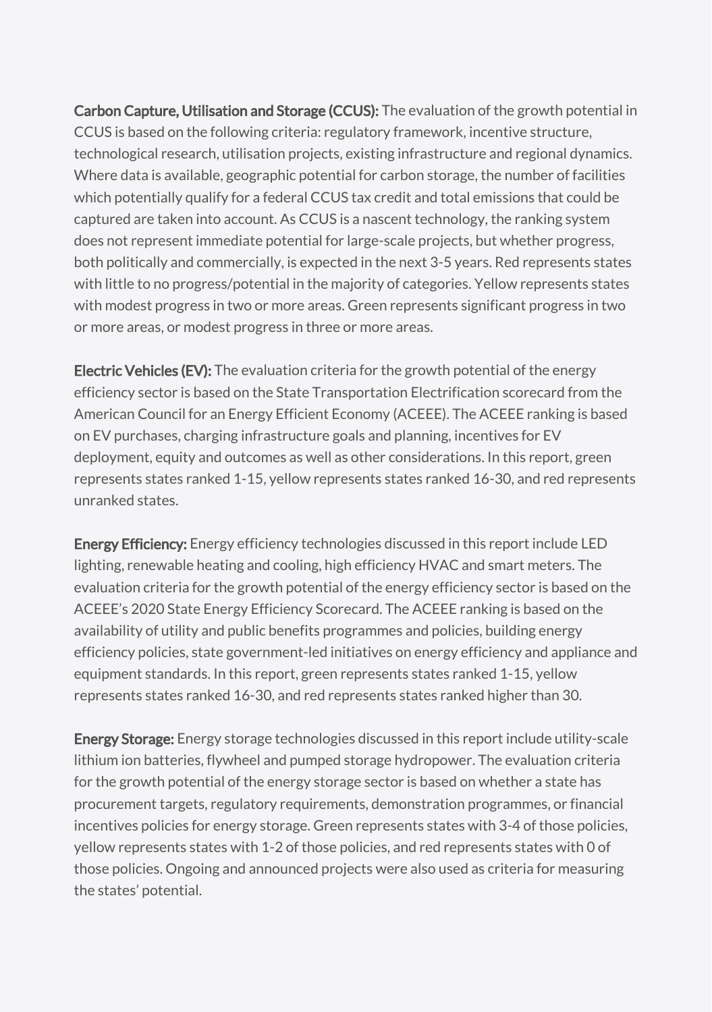Carbon Capture, Utilisation and Storage (CCUS): The evaluation of the growth potential in CCUS is based on the following criteria: regulatory framework, incentive structure, technological research, utilisation projects, existing infrastructure and regional dynamics. Where data is available, geographic potential for carbon storage, the number of facilities which potentially qualify for a federal CCUS tax credit and total emissions that could be captured are taken into account. As CCUS is a nascent technology, the ranking system does not represent immediate potential for large-scale projects, but whether progress, both politically and commercially, is expected in the next 3-5 years. Red represents states with little to no progress/potential in the majority of categories. Yellow represents states with modest progress in two or more areas. Green represents significant progress in two or more areas, or modest progress in three or more areas.

Electric Vehicles (EV): The evaluation criteria for the growth potential of the energy efficiency sector is based on the State [Transportation](https://www.aceee.org/sites/default/files/pdfs/t2101.pdf) Electrification scorecard from the American Council for an Energy Efficient Economy (ACEEE). The ACEEE ranking is based on EV purchases, charging infrastructure goals and planning, incentives for EV deployment, equity and outcomes as well as other considerations. In this report, green represents states ranked 1-15, yellow represents states ranked 16-30, and red represents unranked states.

Energy Efficiency: Energy efficiency technologies discussed in this report include LED lighting, renewable heating and cooling, high efficiency HVAC and smart meters. The evaluation criteria for the growth potential of the energy efficiency sector is based on the ACEEE's 2020 State Energy Efficiency Scorecard. The ACEEE ranking is based on the availability of utility and public benefits programmes and policies, building energy efficiency policies, state government-led initiatives on energy efficiency and appliance and equipment standards. In this report, green represents states ranked 1-15, yellow represents states ranked 16-30, and red represents states ranked higher than 30.

**Energy Storage:** Energy storage technologies discussed in this report include utility-scale lithium ion batteries, flywheel and pumped storage hydropower. The evaluation criteria for the growth potential of the energy storage sector is based on whether a state has procurement targets, regulatory requirements, demonstration programmes, or financial incentives policies for energy storage. Green represents states with 3-4 of those policies, yellow represents states with 1-2 of those policies, and red represents states with 0 of those policies. Ongoing and announced projects were also used as criteria for measuring the states' potential.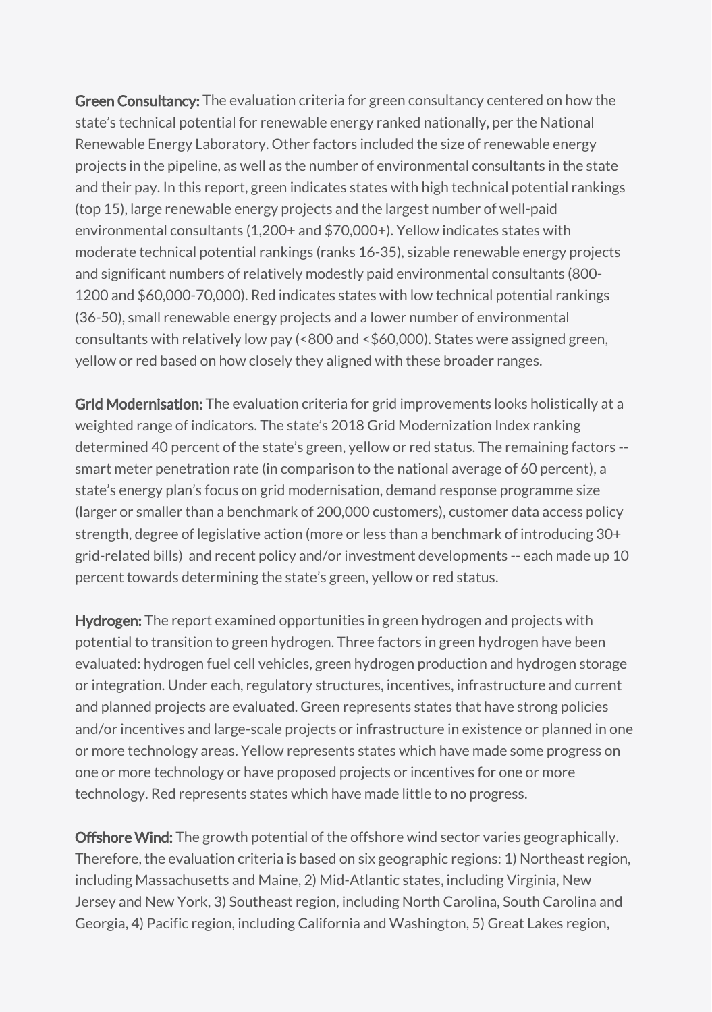Green Consultancy: The evaluation criteria for green consultancy centered on how the state's technical potential for renewable energy ranked nationally, per the National Renewable Energy Laboratory. Other factors included the size of renewable energy projects in the pipeline, as well as the number of environmental consultants in the state and their pay. In this report, green indicates states with high technical potential rankings (top 15), large renewable energy projects and the largest number of well-paid environmental consultants (1,200+ and \$70,000+). Yellow indicates states with moderate technical potential rankings (ranks 16-35), sizable renewable energy projects and significant numbers of relatively modestly paid environmental consultants (800- 1200 and \$60,000-70,000). Red indicates states with low technical potential rankings (36-50), small renewable energy projects and a lower number of environmental consultants with relatively low pay (<800 and <\$60,000). States were assigned green, yellow or red based on how closely they aligned with these broader ranges.

Grid Modernisation: The evaluation criteria for grid improvements looks holistically at a weighted range of indicators. The state's 2018 Grid Modernization Index ranking determined 40 percent of the state's green, yellow or red status. The remaining factors - smart meter penetration rate (in comparison to the national average of 60 percent), a state's energy plan's focus on grid modernisation, demand response programme size (larger or smaller than a benchmark of 200,000 customers), customer data access policy strength, degree of legislative action (more or less than a benchmark of introducing 30+ grid-related bills) and recent policy and/or investment developments -- each made up 10 percent towards determining the state's green, yellow or red status.

Hydrogen: The report examined opportunities in green hydrogen and projects with potential to transition to green hydrogen. Three factors in green hydrogen have been evaluated: hydrogen fuel cell vehicles, green hydrogen production and hydrogen storage or integration. Under each, regulatory structures, incentives, infrastructure and current and planned projects are evaluated. Green represents states that have strong policies and/or incentives and large-scale projects or infrastructure in existence or planned in one or more technology areas. Yellow represents states which have made some progress on one or more technology or have proposed projects or incentives for one or more technology. Red represents states which have made little to no progress.

Offshore Wind: The growth potential of the offshore wind sector varies geographically. Therefore, the evaluation criteria is based on six geographic regions: 1) Northeast region, including Massachusetts and Maine, 2) Mid-Atlantic states, including Virginia, New Jersey and New York, 3) Southeast region, including North Carolina, South Carolina and Georgia, 4) Pacific region, including California and Washington, 5) Great Lakes region,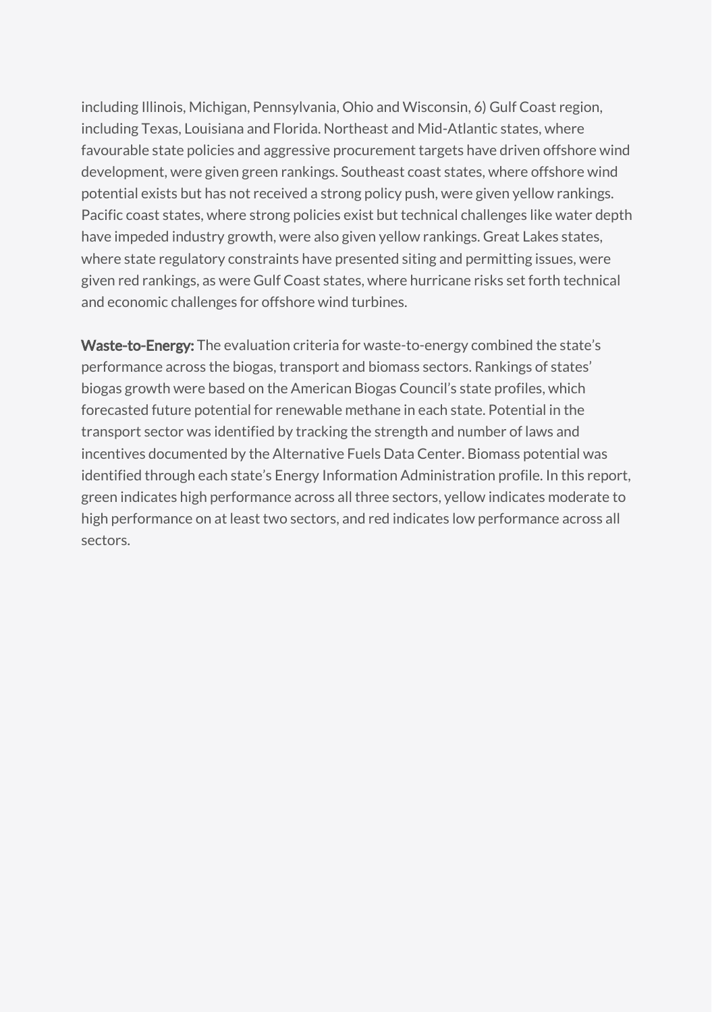including Illinois, Michigan, Pennsylvania, Ohio and Wisconsin, 6) Gulf Coast region, including Texas, Louisiana and Florida. Northeast and Mid-Atlantic states, where favourable state policies and aggressive procurement targets have driven offshore wind development, were given green rankings. Southeast coast states, where offshore wind potential exists but has not received a strong policy push, were given yellow rankings. Pacific coast states, where strong policies exist but technical challenges like water depth have impeded industry growth, were also given yellow rankings. Great Lakes states, where state regulatory constraints have presented siting and permitting issues, were given red rankings, as were Gulf Coast states, where hurricane risks set forth technical and economic challenges for offshore wind turbines.

Waste-to-Energy: The evaluation criteria for waste-to-energy combined the state's performance across the biogas, transport and biomass sectors. Rankings of states' biogas growth were based on the American Biogas Council's state profiles, which forecasted future potential for renewable methane in each state. Potential in the transport sector was identified by tracking the strength and number of laws and incentives documented by the Alternative Fuels Data Center. Biomass potential was identified through each state's Energy Information Administration profile. In this report, green indicates high performance across all three sectors, yellow indicates moderate to high performance on at least two sectors, and red indicates low performance across all sectors.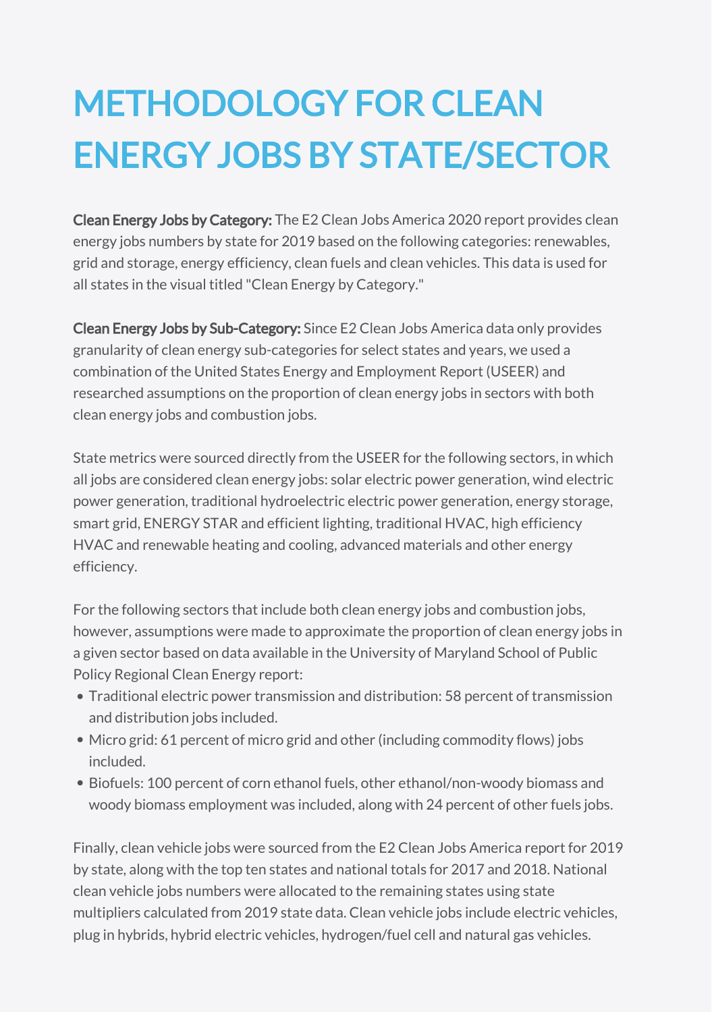# METHODOLOGY FOR CLEAN ENERGY JOBS BY STATE/SECTOR

Clean Energy Jobs by Category: The E2 Clean Jobs America 2020 report provides clean energy jobs numbers by state for 2019 based on the following categories: renewables, grid and storage, energy efficiency, clean fuels and clean vehicles. This data is used for all states in the visual titled "Clean Energy by Category."

Clean Energy Jobs by Sub-Category: Since E2 Clean Jobs America data only provides granularity of clean energy sub-categories for select states and years, we used a combination of the United States Energy and Employment Report (USEER) and researched assumptions on the proportion of clean energy jobs in sectors with both clean energy jobs and combustion jobs.

State metrics were sourced directly from the USEER for the following sectors, in which all jobs are considered clean energy jobs: solar electric power generation, wind electric power generation, traditional hydroelectric electric power generation, energy storage, smart grid, ENERGY STAR and efficient lighting, traditional HVAC, high efficiency HVAC and renewable heating and cooling, advanced materials and other energy efficiency.

Policy Regional Clean Energy report: For the following sectors that include both clean energy jobs and combustion jobs, however, assumptions were made to approximate the proportion of clean energy jobs in a given sector based on data available in the University of Maryland School of Public

- Traditional electric power transmission and distribution: 58 percent of transmission and distribution jobs included.
- Micro grid: 61 percent of micro grid and other (including commodity flows) jobs included.
- Biofuels: 100 percent of corn ethanol fuels, other ethanol/non-woody biomass and woody biomass employment was included, along with 24 percent of other fuels jobs.

Finally, clean vehicle jobs were sourced from the E2 Clean Jobs America report for 2019 by state, along with the top ten states and national totals for 2017 and 2018. National clean vehicle jobs numbers were allocated to the remaining states using state multipliers calculated from 2019 state data. Clean vehicle jobs include electric vehicles, plug in hybrids, hybrid electric vehicles, hydrogen/fuel cell and natural gas vehicles.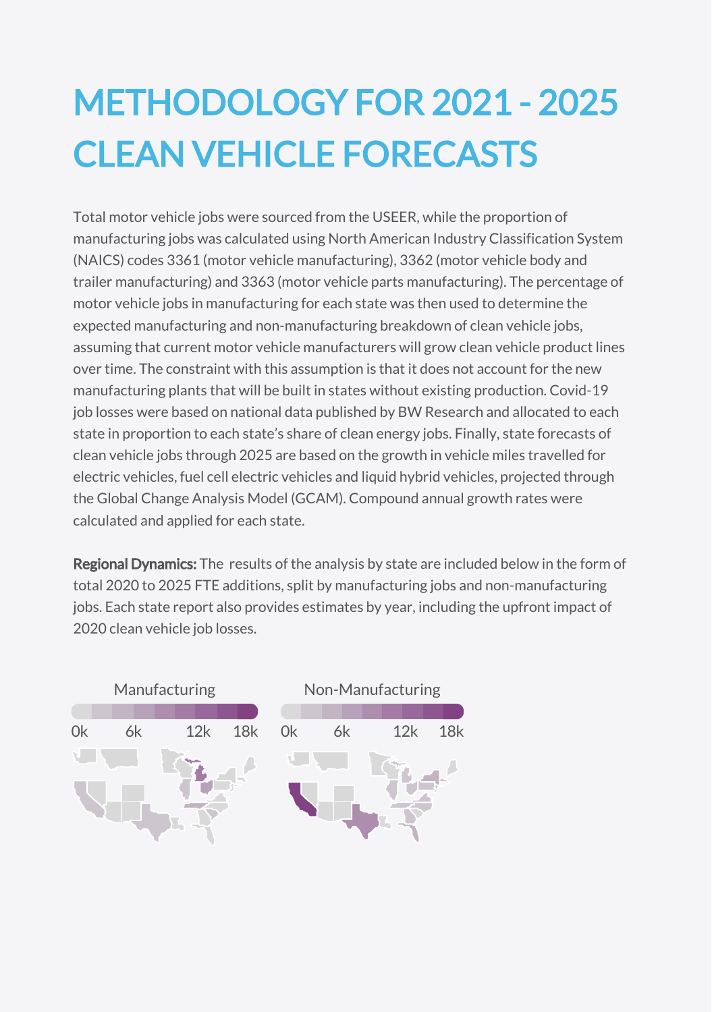# METHODOLOGY FOR 2021 - 2025 CLEAN VEHICLE FORECASTS

Total motor vehicle jobs were sourced from the USEER, while the proportion of manufacturing jobs was calculated using North American Industry Classification System (NAICS) codes 3361 (motor vehicle manufacturing), 3362 (motor vehicle body and trailer manufacturing) and 3363 (motor vehicle parts manufacturing). The percentage of motor vehicle jobs in manufacturing for each state was then used to determine the expected manufacturing and non-manufacturing breakdown of clean vehicle jobs, assuming that current motor vehicle manufacturers will grow clean vehicle product lines over time. The constraint with this assumption is that it does not account for the new manufacturing plants that will be built in states without existing production. Covid-19 job losses were based on national [data](https://www.bwresearch.com/covid/docs/BWResearch_CleanEnergyJobsCOVID-19Memo_Dec2020.pdf) published by BW Research and allocated to each state in proportion to each state's share of clean energy jobs. Finally, state forecasts of clean vehicle jobs through 2025 are based on the growth in vehicle miles travelled for electric vehicles, fuel cell electric vehicles and liquid hybrid vehicles, projected through the Global Change Analysis Model (GCAM). Compound annual growth rates were calculated and applied for each state.

Regional Dynamics: The results of the analysis by state are included below in the form of total 2020 to 2025 FTE additions, split by manufacturing jobs and non-manufacturing jobs. Each state report also provides estimates by year, including the upfront impact of 2020 clean vehicle job losses.

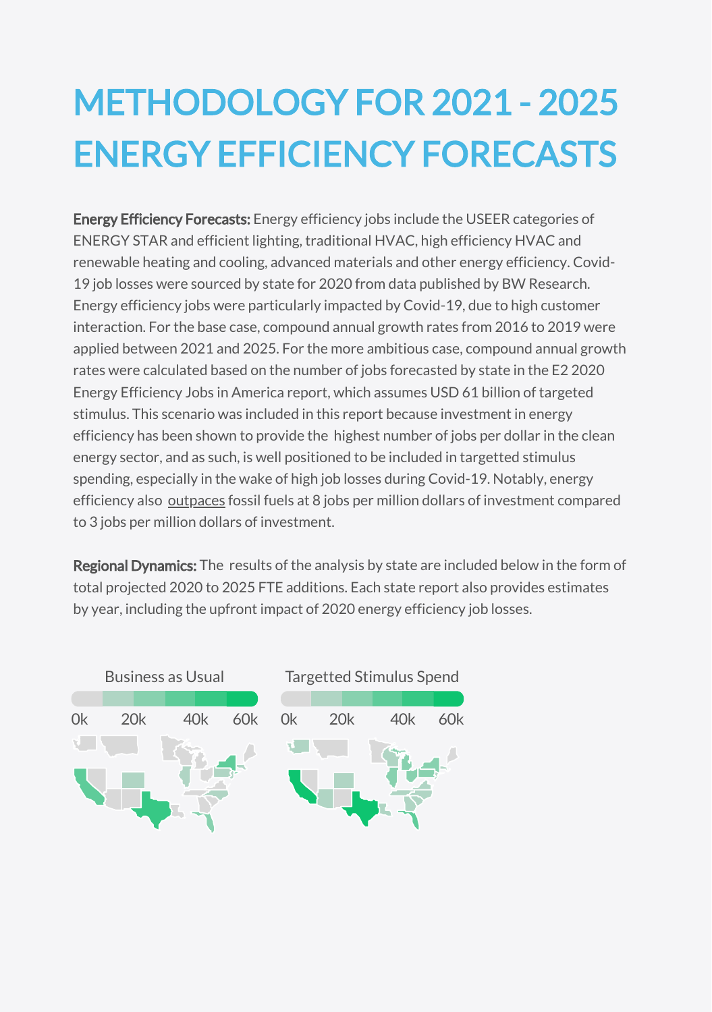## METHODOLOGY FOR 2021 - 2025 ENERGY EFFICIENCY FORECASTS

Energy Efficiency Forecasts: Energy efficiency jobs include the USEER categories of ENERGY STAR and efficient lighting, traditional HVAC, high efficiency HVAC and renewable heating and cooling, advanced materials and other energy efficiency. Covid-19 job losses were sourced by state for 2020 from [data](https://www.bwresearch.com/covid/docs/BWResearch_CleanEnergyJobsCOVID-19Memo_Dec2020.pdf) published by BW Research. Energy efficiency jobs were particularly impacted by Covid-19, due to high customer interaction. For the base case, compound annual growth rates from 2016 to 2019 were applied between 2021 and 2025. For the more ambitious case, compound annual growth rates were calculated based on the number of jobs forecasted by state in the E2 2020 Energy Efficiency Jobs in America [report](https://e2.org/releases/report-clean-energy-employed-85000-in-wa-pre-covid-more-than-software-developers-and-engineers-2/), which assumes USD 61 billion of targeted stimulus. This scenario was included in this report because investment in energy efficiency has been shown to provide the highest number of jobs per dollar in the clean energy sector, and as such, is well positioned to be included in targetted stimulus spending, especially in the wake of high job losses during Covid-19. Notably, energy efficiency also [outpaces](http://edfclimatecorps.org/nowhiringreport#:~:text=Studies%20have%20also%20shown%20that,3%20jobs%20in%20fossil%20fuels.) fossil fuels at 8 jobs per million dollars of investment compared to 3 jobs per million dollars of investment.

Regional Dynamics: The results of the analysis by state are included below in the form of total projected 2020 to 2025 FTE additions. Each state report also provides estimates by year, including the upfront impact of 2020 energy efficiency job losses.

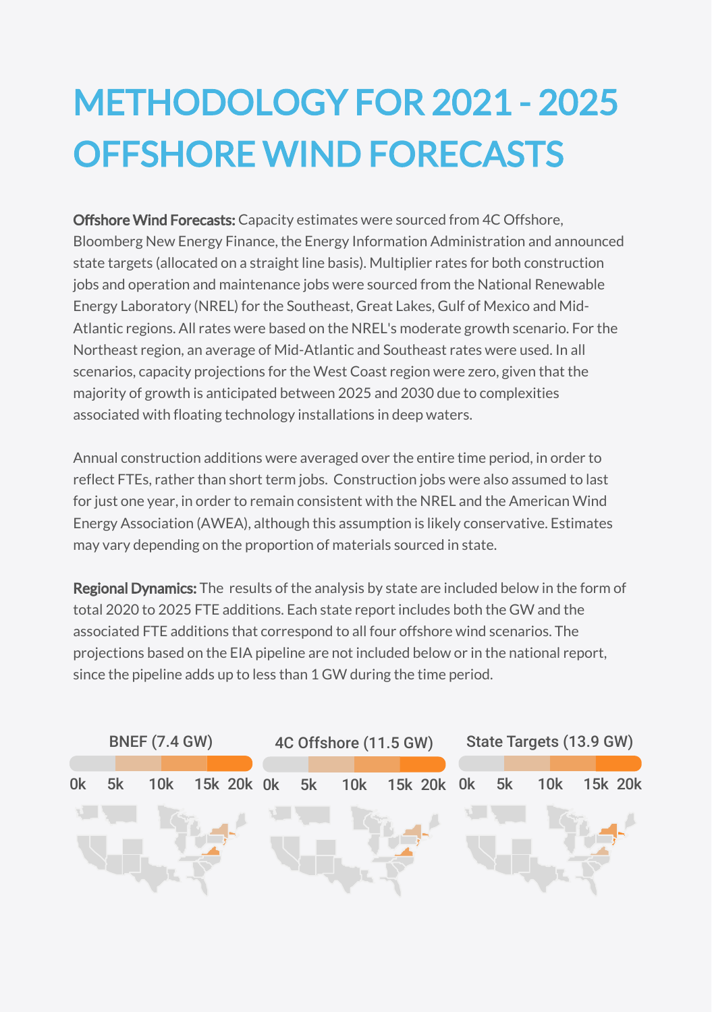# METHODOLOGY FOR 2021 - 2025 OFFSHORE WIND FORECASTS

Offshore Wind Forecasts: Capacity estimates were sourced from 4C Offshore, Bloomberg New Energy Finance, the Energy Information Administration and announced state targets (allocated on a straight line basis). Multiplier rates for both construction jobs and operation and maintenance jobs were [sourced](https://www.nrel.gov/docs/fy15osti/61894.pdf) from the National Renewable Energy Laboratory (NREL) for the Southeast, Great Lakes, Gulf of Mexico and Mid-Atlantic regions. All rates were based on the NREL's moderate growth scenario. For the Northeast region, an average of Mid-Atlantic and Southeast rates were used. In all scenarios, capacity projections for the West Coast region were zero, given that the majority of growth is anticipated between 2025 and 2030 due to complexities associated with floating technology installations in deep waters.

Annual construction additions were averaged over the entire time period, in order to reflect FTEs, rather than short term jobs. Construction jobs were also assumed to last for just one year, in order to remain consistent with the NREL and the American Wind Energy Association (AWEA), although this assumption is likely conservative. Estimates may vary depending on the proportion of materials sourced in state.

Regional Dynamics: The results of the analysis by state are included below in the form of total 2020 to 2025 FTE additions. Each state report includes both the GW and the associated FTE additions that correspond to all four offshore wind scenarios. The projections based on the EIA pipeline are not included below or in the national report, since the pipeline adds up to less than 1 GW during the time period.

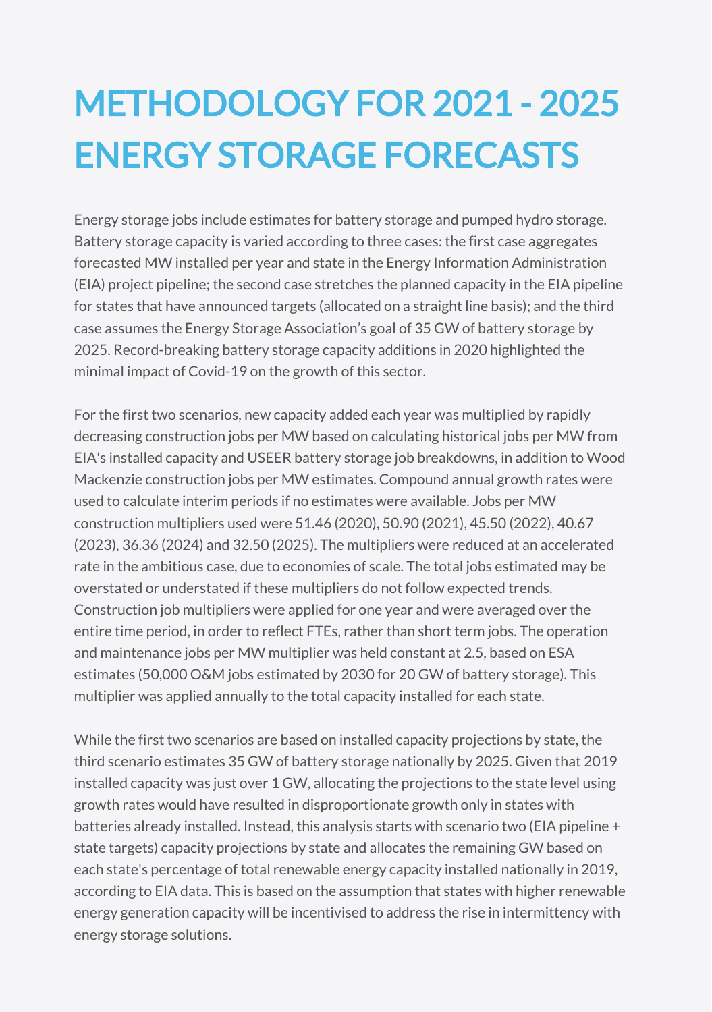#### METHODOLOGY FOR 2021 - 2025 ENERGY STORAGE FORECASTS

Energy storage jobs include estimates for battery storage and pumped hydro storage. Battery storage capacity is varied according to three cases: the first case aggregates forecasted MW installed per year and state in the Energy Information Administration (EIA) project pipeline; the second case stretches the planned capacity in the EIA pipeline for states that have announced targets (allocated on a straight line basis); and the third case assumes the Energy Storage Association's [goal](https://energystorage.org/wp/wp-content/uploads/2020/08/100x30-Empowering-Clean-Power-Transformation-ESA-Vision.pdf) of 35 GW of battery storage by 2025. Record-breaking battery storage capacity additions in 2020 highlighted the minimal impact of Covid-19 on the growth of this sector.

For the first two scenarios, new capacity added each year was multiplied by rapidly decreasing construction jobs per MW based on calculating historical jobs per MW from EIA's installed capacity and USEER battery storage job breakdowns, in addition to Wood Mackenzie construction jobs per MW estimates. Compound annual growth rates were used to calculate interim periods if no estimates were available. Jobs per MW construction multipliers used were 51.46 (2020), 50.90 (2021), 45.50 (2022), 40.67 (2023), 36.36 (2024) and 32.50 (2025). The multipliers were reduced at an accelerated rate in the ambitious case, due to economies of scale. The total jobs estimated may be overstated or understated if these multipliers do not follow expected trends. Construction job multipliers were applied for one year and were averaged over the entire time period, in order to reflect FTEs, rather than short term jobs. The operation and maintenance jobs per MW multiplier was held constant at 2.5, based on ESA estimates (50,000 O&M jobs estimated by 2030 for 20 GW of battery storage). This multiplier was applied annually to the total capacity installed for each state.

While the first two scenarios are based on installed capacity projections by state, the third scenario estimates 35 GW of battery storage nationally by 2025. Given that 2019 installed capacity was just over 1 GW, allocating the projections to the state level using growth rates would have resulted in disproportionate growth only in states with batteries already installed. Instead, this analysis starts with scenario two (EIA pipeline + state targets) capacity projections by state and allocates the remaining GW based on each state's percentage of total renewable energy capacity installed nationally in 2019, according to EIA data. This is based on the assumption that states with higher renewable energy generation capacity will be incentivised to address the rise in intermittency with energy storage solutions.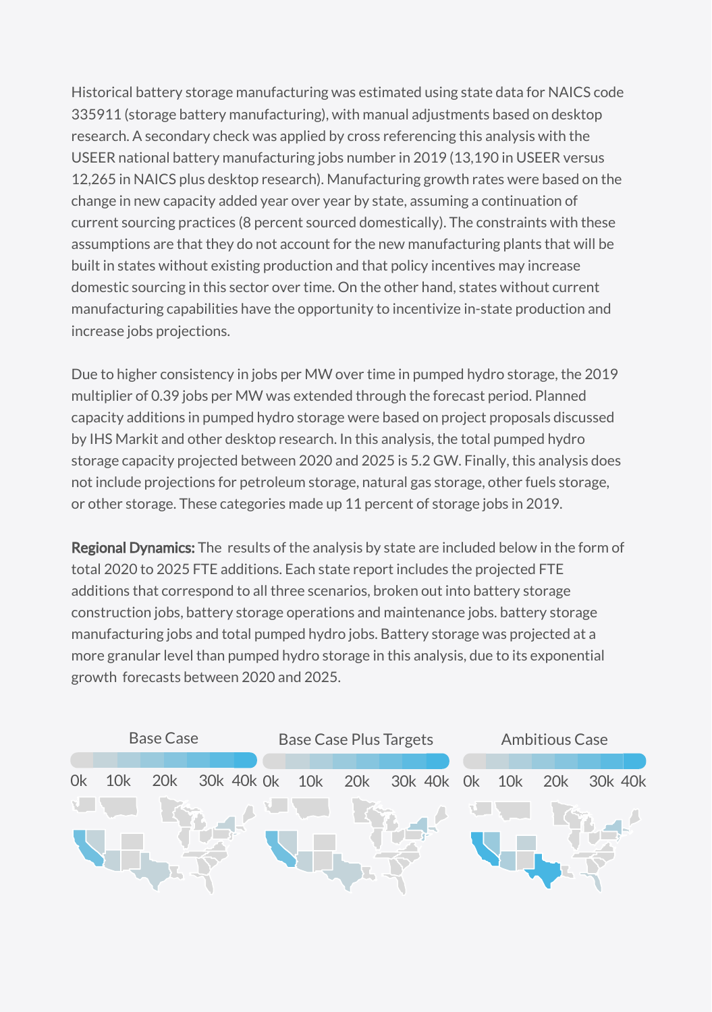Historical battery storage manufacturing was estimated using state data for NAICS code 335911 (storage battery manufacturing), with manual adjustments based on desktop research. A secondary check was applied by cross referencing this analysis with the USEER national battery manufacturing jobs number in 2019 (13,190 in USEER versus 12,265 in NAICS plus desktop research). Manufacturing growth rates were based on the change in new capacity added year over year by state, assuming a continuation of current [sourcing](https://www.spglobal.com/marketintelligence/en/news-insights/blog/essential-energy-insights-february-2021) practices (8 percent sourced domestically). The constraints with these assumptions are that they do not account for the new manufacturing plants that will be built in states without existing production and that policy incentives may increase domestic sourcing in this sector over time. On the other hand, states without current manufacturing capabilities have the opportunity to incentivize in-state production and increase jobs projections.

Due to higher consistency in jobs per MW over time in pumped hydro storage, the 2019 multiplier of 0.39 jobs per MW was extended through the forecast period. Planned capacity additions in pumped hydro storage were based on project proposals discussed by IHS [Markit](https://ihsmarkit.com/research-analysis/pumped-storage-gets-a-boost-or-two-in-the-us.html) and other desktop research. In this analysis, the total pumped hydro storage capacity projected between 2020 and 2025 is 5.2 GW. Finally, this analysis does not include projections for petroleum storage, natural gas storage, other fuels storage, or other storage. These categories made up 11 percent of storage jobs in 2019.

Regional Dynamics: The results of the analysis by state are included below in the form of total 2020 to 2025 FTE additions. Each state report includes the projected FTE additions that correspond to all three scenarios, broken out into battery storage construction jobs, battery storage operations and maintenance jobs. battery storage manufacturing jobs and total pumped hydro jobs. Battery storage was projected at a more granular level than pumped hydro storage in this analysis, due to its exponential growth forecasts between 2020 and 2025.

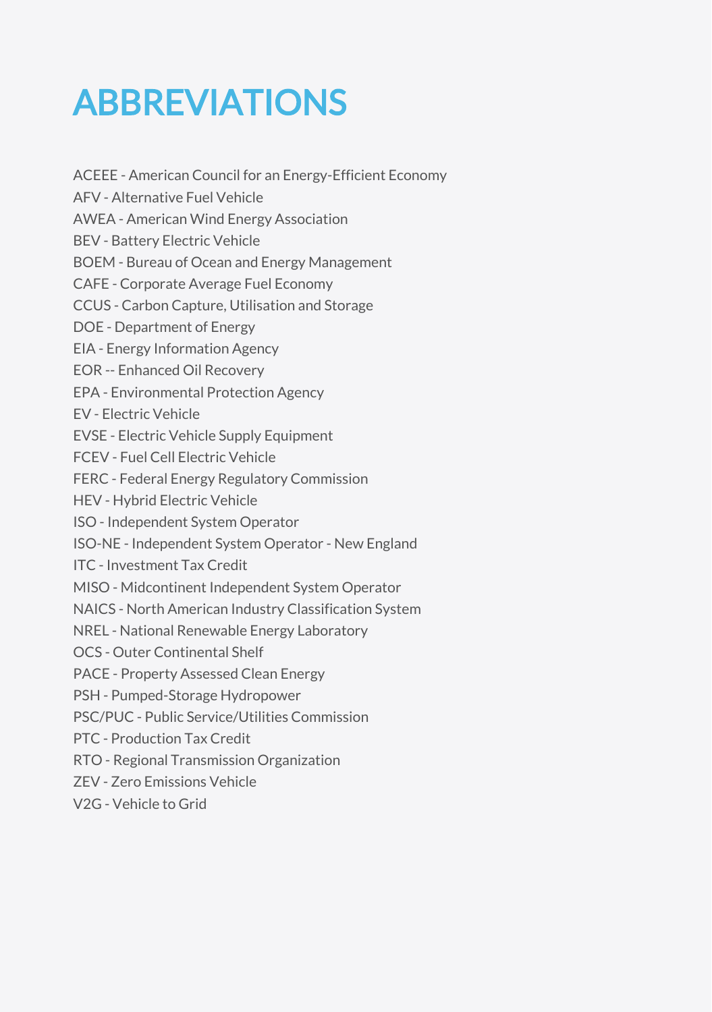#### ABBREVIATIONS

ACEEE - American Council for an Energy-Efficient Economy AFV - Alternative Fuel Vehicle AWEA - American Wind Energy Association BEV - Battery Electric Vehicle BOEM - Bureau of Ocean and Energy Management CAFE - Corporate Average Fuel Economy CCUS - Carbon Capture, Utilisation and Storage DOE - Department of Energy EIA - Energy Information Agency EOR -- Enhanced Oil Recovery EPA - Environmental Protection Agency EV - Electric Vehicle EVSE - Electric Vehicle Supply Equipment FCEV - Fuel Cell Electric Vehicle FERC - Federal Energy Regulatory Commission HEV - Hybrid Electric Vehicle ISO - Independent System Operator ISO-NE - Independent System Operator - New England ITC - Investment Tax Credit MISO - Midcontinent Independent System Operator NAICS - North American Industry Classification System NREL - National Renewable Energy Laboratory OCS - Outer Continental Shelf PACE - Property Assessed Clean Energy PSH - Pumped-Storage Hydropower PSC/PUC - Public Service/Utilities Commission PTC - Production Tax Credit RTO - Regional Transmission Organization ZEV - Zero Emissions Vehicle

V2G - Vehicle to Grid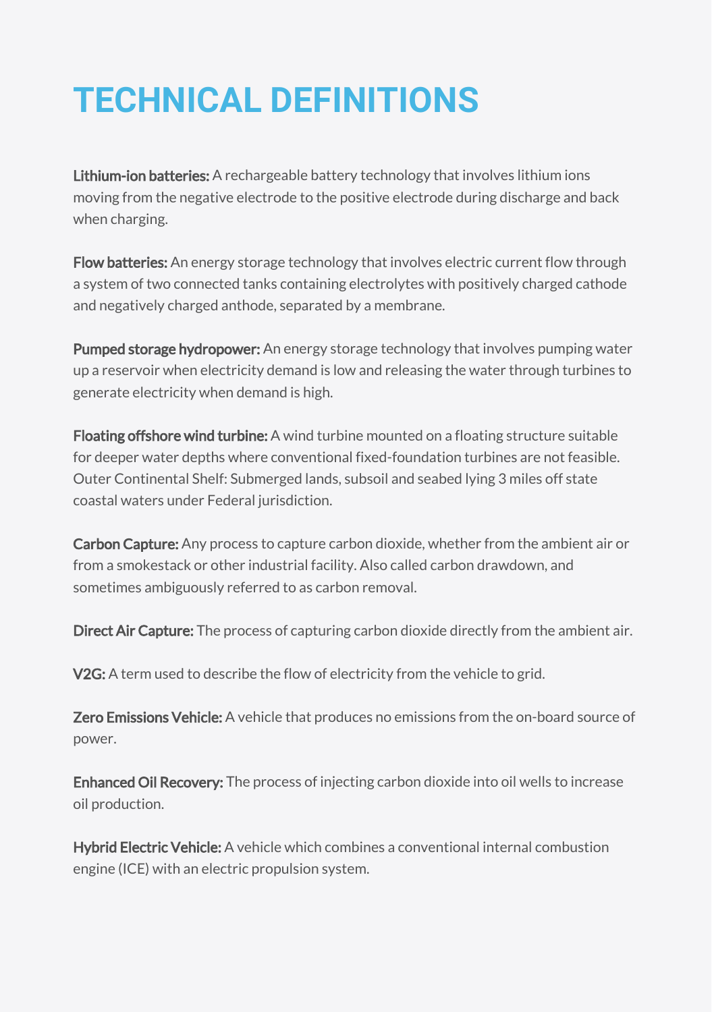#### **TECHNICAL DEFINITIONS**

Lithium-ion batteries: A rechargeable battery technology that involves lithium ions moving from the negative electrode to the positive electrode during discharge and back when charging.

Flow batteries: An energy storage technology that involves electric current flow through a system of two connected tanks containing electrolytes with positively charged cathode and negatively charged anthode, separated by a membrane.

Pumped storage hydropower: An energy storage technology that involves pumping water up a reservoir when electricity demand is low and releasing the water through turbines to generate electricity when demand is high.

Floating offshore wind turbine: A wind turbine mounted on a floating structure suitable for deeper water depths where conventional fixed-foundation turbines are not feasible. Outer Continental Shelf: Submerged lands, subsoil and seabed lying 3 miles off state coastal waters under Federal jurisdiction.

Carbon Capture: Any process to capture carbon dioxide, whether from the ambient air or from a smokestack or other industrial facility. Also called carbon drawdown, and sometimes ambiguously referred to as carbon removal.

Direct Air Capture: The process of capturing carbon dioxide directly from the ambient air.

V2G: A term used to describe the flow of electricity from the vehicle to grid.

**Zero Emissions Vehicle:** A vehicle that produces no emissions from the on-board source of power.

**Enhanced Oil Recovery:** The process of injecting carbon dioxide into oil wells to increase oil production.

Hybrid Electric Vehicle: A vehicle which combines a conventional internal combustion engine (ICE) with an electric propulsion system.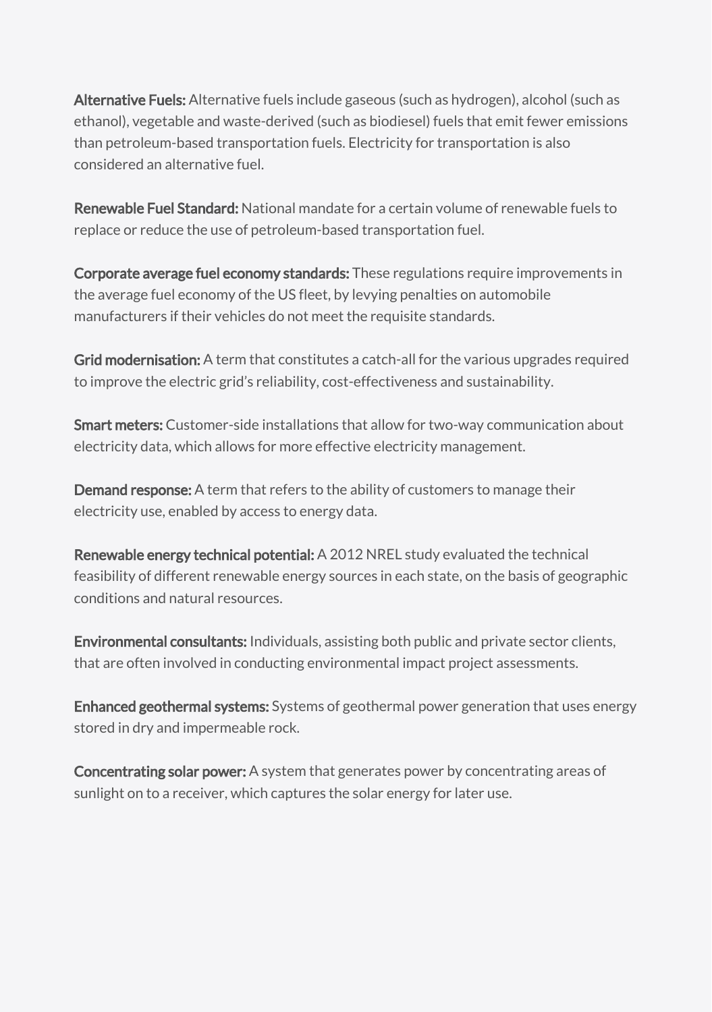Alternative Fuels: Alternative fuels include gaseous (such as hydrogen), alcohol (such as ethanol), vegetable and waste-derived (such as biodiesel) fuels that emit fewer emissions than petroleum-based transportation fuels. Electricity for transportation is also considered an alternative fuel.

Renewable Fuel Standard: National mandate for a certain volume of renewable fuels to replace or reduce the use of petroleum-based transportation fuel.

Corporate average fuel economy standards: These regulations require improvements in the average fuel economy of the US fleet, by levying penalties on automobile manufacturers if their vehicles do not meet the requisite standards.

Grid modernisation: A term that constitutes a catch-all for the various upgrades required to improve the electric grid's reliability, cost-effectiveness and sustainability.

Smart meters: Customer-side installations that allow for two-way communication about electricity data, which allows for more effective electricity management.

Demand response: A term that refers to the ability of customers to manage their electricity use, enabled by access to energy data.

Renewable energy technical potential: A 2012 NREL study evaluated the technical feasibility of different renewable energy sources in each state, on the basis of geographic conditions and natural resources.

**Environmental consultants:** Individuals, assisting both public and private sector clients, that are often involved in conducting environmental impact project assessments.

Enhanced geothermal systems: Systems of geothermal power generation that uses energy stored in dry and impermeable rock.

Concentrating solar power: A system that generates power by concentrating areas of sunlight on to a receiver, which captures the solar energy for later use.